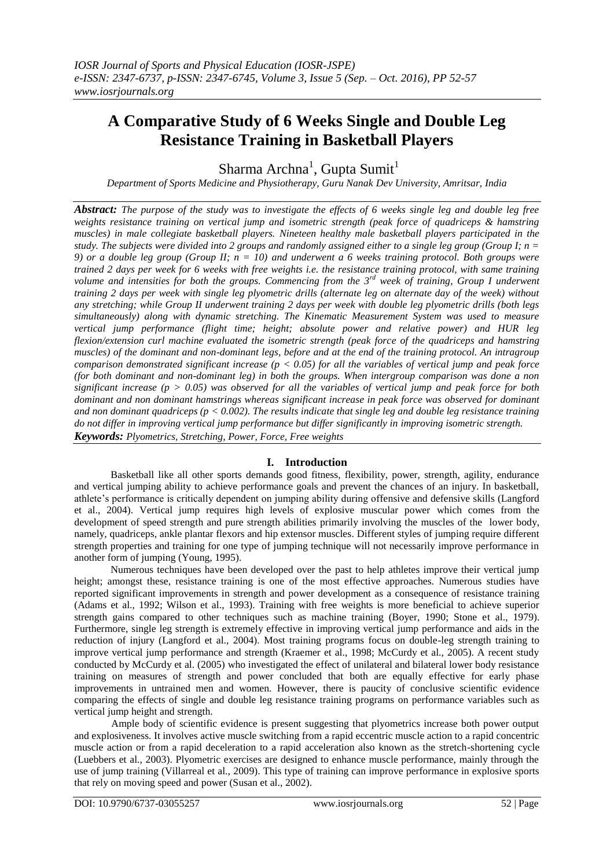# **A Comparative Study of 6 Weeks Single and Double Leg Resistance Training in Basketball Players**

Sharma Archna<sup>1</sup>, Gupta Sumit<sup>1</sup>

*Department of Sports Medicine and Physiotherapy, Guru Nanak Dev University, Amritsar, India*

*Abstract: The purpose of the study was to investigate the effects of 6 weeks single leg and double leg free weights resistance training on vertical jump and isometric strength (peak force of quadriceps & hamstring muscles) in male collegiate basketball players. Nineteen healthy male basketball players participated in the study. The subjects were divided into 2 groups and randomly assigned either to a single leg group (Group I; n = 9) or a double leg group (Group II; n = 10) and underwent a 6 weeks training protocol. Both groups were trained 2 days per week for 6 weeks with free weights i.e. the resistance training protocol, with same training volume and intensities for both the groups. Commencing from the 3rd week of training, Group I underwent training 2 days per week with single leg plyometric drills (alternate leg on alternate day of the week) without any stretching; while Group II underwent training 2 days per week with double leg plyometric drills (both legs simultaneously) along with dynamic stretching. The Kinematic Measurement System was used to measure vertical jump performance (flight time; height; absolute power and relative power) and HUR leg flexion/extension curl machine evaluated the isometric strength (peak force of the quadriceps and hamstring muscles) of the dominant and non-dominant legs, before and at the end of the training protocol. An intragroup comparison demonstrated significant increase (p < 0.05) for all the variables of vertical jump and peak force (for both dominant and non-dominant leg) in both the groups. When intergroup comparison was done a non significant increase (p > 0.05) was observed for all the variables of vertical jump and peak force for both dominant and non dominant hamstrings whereas significant increase in peak force was observed for dominant and non dominant quadriceps (p < 0.002). The results indicate that single leg and double leg resistance training do not differ in improving vertical jump performance but differ significantly in improving isometric strength. Keywords: Plyometrics, Stretching, Power, Force, Free weights*

# **I. Introduction**

Basketball like all other sports demands good fitness, flexibility, power, strength, agility, endurance and vertical jumping ability to achieve performance goals and prevent the chances of an injury. In basketball, athlete's performance is critically dependent on jumping ability during offensive and defensive skills (Langford et al., 2004). Vertical jump requires high levels of explosive muscular power which comes from the development of speed strength and pure strength abilities primarily involving the muscles of the lower body, namely, quadriceps, ankle plantar flexors and hip extensor muscles. Different styles of jumping require different strength properties and training for one type of jumping technique will not necessarily improve performance in another form of jumping (Young, 1995).

Numerous techniques have been developed over the past to help athletes improve their vertical jump height; amongst these, resistance training is one of the most effective approaches. Numerous studies have reported significant improvements in strength and power development as a consequence of resistance training (Adams et al., 1992; Wilson et al., 1993). Training with free weights is more beneficial to achieve superior strength gains compared to other techniques such as machine training (Boyer, 1990; Stone et al., 1979). Furthermore, single leg strength is extremely effective in improving vertical jump performance and aids in the reduction of injury (Langford et al., 2004). Most training programs focus on double-leg strength training to improve vertical jump performance and strength (Kraemer et al., 1998; McCurdy et al., 2005). A recent study conducted by McCurdy et al. (2005) who investigated the effect of unilateral and bilateral lower body resistance training on measures of strength and power concluded that both are equally effective for early phase improvements in untrained men and women. However, there is paucity of conclusive scientific evidence comparing the effects of single and double leg resistance training programs on performance variables such as vertical jump height and strength.

Ample body of scientific evidence is present suggesting that plyometrics increase both power output and explosiveness. It involves active muscle switching from a rapid eccentric muscle action to a rapid concentric muscle action or from a rapid deceleration to a rapid acceleration also known as the stretch-shortening cycle (Luebbers et al., 2003). Plyometric exercises are designed to enhance muscle performance, mainly through the use of jump training (Villarreal et al., 2009). This type of training can improve performance in explosive sports that rely on moving speed and power (Susan et al., 2002).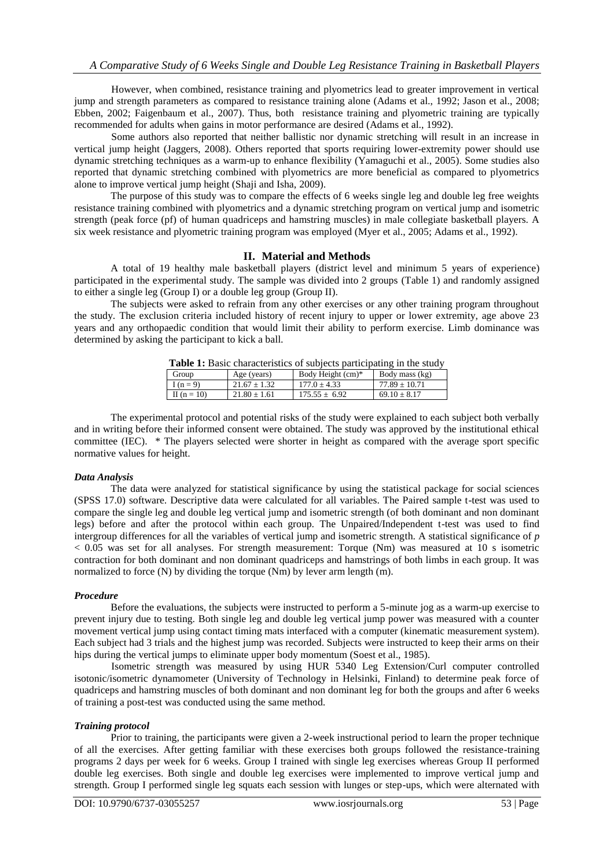However, when combined, resistance training and plyometrics lead to greater improvement in vertical jump and strength parameters as compared to resistance training alone (Adams et al., 1992; Jason et al., 2008; Ebben, 2002; Faigenbaum et al., 2007). Thus, both resistance training and plyometric training are typically recommended for adults when gains in motor performance are desired (Adams et al., 1992).

Some authors also reported that neither ballistic nor dynamic stretching will result in an increase in vertical jump height (Jaggers, 2008). Others reported that sports requiring lower-extremity power should use dynamic stretching techniques as a warm-up to enhance flexibility (Yamaguchi et al., 2005). Some studies also reported that dynamic stretching combined with plyometrics are more beneficial as compared to plyometrics alone to improve vertical jump height (Shaji and Isha, 2009).

The purpose of this study was to compare the effects of 6 weeks single leg and double leg free weights resistance training combined with plyometrics and a dynamic stretching program on vertical jump and isometric strength (peak force (pf) of human quadriceps and hamstring muscles) in male collegiate basketball players. A six week resistance and plyometric training program was employed (Myer et al., 2005; Adams et al., 1992).

# **II. Material and Methods**

A total of 19 healthy male basketball players (district level and minimum 5 years of experience) participated in the experimental study. The sample was divided into 2 groups (Table 1) and randomly assigned to either a single leg (Group I) or a double leg group (Group II).

The subjects were asked to refrain from any other exercises or any other training program throughout the study. The exclusion criteria included history of recent injury to upper or lower extremity, age above 23 years and any orthopaedic condition that would limit their ability to perform exercise. Limb dominance was determined by asking the participant to kick a ball.

| Group           | Age (years)      | Body Height (cm)* | Body mass (kg)    |
|-----------------|------------------|-------------------|-------------------|
| I $(n=9)$       | $21.67 \pm 1.32$ | $177.0 + 4.33$    | $77.89 \pm 10.71$ |
| II ( $n = 10$ ) | $21.80 + 1.61$   | $175.55 \pm 6.92$ | $69.10 \pm 8.17$  |
|                 |                  |                   |                   |

**Table 1:** Basic characteristics of subjects participating in the study

The experimental protocol and potential risks of the study were explained to each subject both verbally and in writing before their informed consent were obtained. The study was approved by the institutional ethical committee (IEC). \* The players selected were shorter in height as compared with the average sport specific normative values for height.

# *Data Analysis*

The data were analyzed for statistical significance by using the statistical package for social sciences (SPSS 17.0) software. Descriptive data were calculated for all variables. The Paired sample t-test was used to compare the single leg and double leg vertical jump and isometric strength (of both dominant and non dominant legs) before and after the protocol within each group. The Unpaired/Independent t-test was used to find intergroup differences for all the variables of vertical jump and isometric strength. A statistical significance of *p*  $< 0.05$  was set for all analyses. For strength measurement: Torque (Nm) was measured at 10 s isometric contraction for both dominant and non dominant quadriceps and hamstrings of both limbs in each group. It was normalized to force (N) by dividing the torque (Nm) by lever arm length (m).

## *Procedure*

Before the evaluations, the subjects were instructed to perform a 5-minute jog as a warm-up exercise to prevent injury due to testing. Both single leg and double leg vertical jump power was measured with a counter movement vertical jump using contact timing mats interfaced with a computer (kinematic measurement system). Each subject had 3 trials and the highest jump was recorded. Subjects were instructed to keep their arms on their hips during the vertical jumps to eliminate upper body momentum (Soest et al., 1985).

Isometric strength was measured by using HUR 5340 Leg Extension/Curl computer controlled isotonic/isometric dynamometer (University of Technology in Helsinki, Finland) to determine peak force of quadriceps and hamstring muscles of both dominant and non dominant leg for both the groups and after 6 weeks of training a post-test was conducted using the same method.

## *Training protocol*

Prior to training, the participants were given a 2-week instructional period to learn the proper technique of all the exercises. After getting familiar with these exercises both groups followed the resistance-training programs 2 days per week for 6 weeks. Group I trained with single leg exercises whereas Group II performed double leg exercises. Both single and double leg exercises were implemented to improve vertical jump and strength. Group I performed single leg squats each session with lunges or step-ups, which were alternated with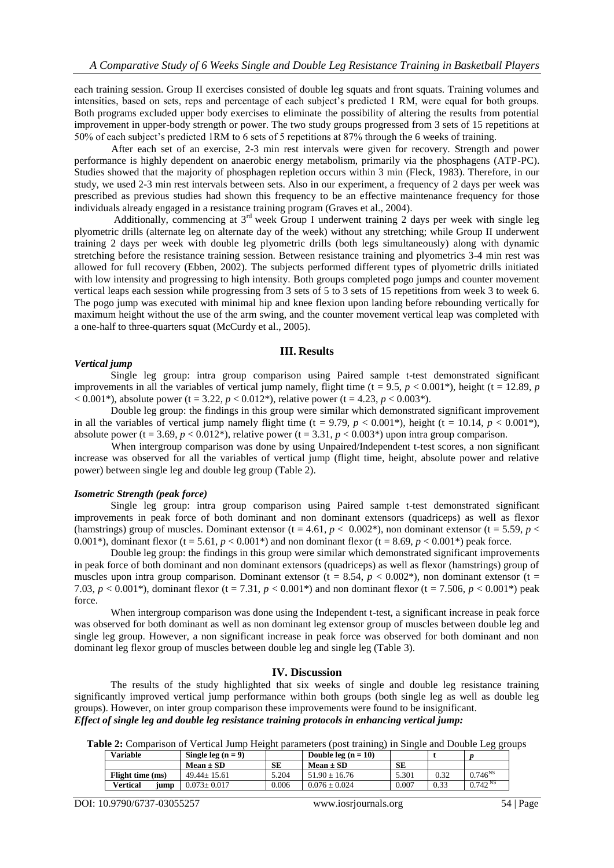each training session. Group II exercises consisted of double leg squats and front squats. Training volumes and intensities, based on sets, reps and percentage of each subject's predicted 1 RM, were equal for both groups. Both programs excluded upper body exercises to eliminate the possibility of altering the results from potential improvement in upper-body strength or power. The two study groups progressed from 3 sets of 15 repetitions at 50% of each subject's predicted 1RM to 6 sets of 5 repetitions at 87% through the 6 weeks of training.

After each set of an exercise, 2-3 min rest intervals were given for recovery. Strength and power performance is highly dependent on anaerobic energy metabolism, primarily via the phosphagens (ATP-PC). Studies showed that the majority of phosphagen repletion occurs within 3 min (Fleck, 1983). Therefore, in our study, we used 2-3 min rest intervals between sets. Also in our experiment, a frequency of 2 days per week was prescribed as previous studies had shown this frequency to be an effective maintenance frequency for those individuals already engaged in a resistance training program (Graves et al., 2004).

Additionally, commencing at  $3<sup>rd</sup>$  week Group I underwent training 2 days per week with single leg plyometric drills (alternate leg on alternate day of the week) without any stretching; while Group II underwent training 2 days per week with double leg plyometric drills (both legs simultaneously) along with dynamic stretching before the resistance training session. Between resistance training and plyometrics 3-4 min rest was allowed for full recovery (Ebben, 2002). The subjects performed different types of plyometric drills initiated with low intensity and progressing to high intensity. Both groups completed pogo jumps and counter movement vertical leaps each session while progressing from 3 sets of 5 to 3 sets of 15 repetitions from week 3 to week 6. The pogo jump was executed with minimal hip and knee flexion upon landing before rebounding vertically for maximum height without the use of the arm swing, and the counter movement vertical leap was completed with a one-half to three-quarters squat (McCurdy et al., 2005).

#### **III. Results**

#### *Vertical jump*

Single leg group: intra group comparison using Paired sample t-test demonstrated significant improvements in all the variables of vertical jump namely, flight time  $(t = 9.5, p < 0.001^*)$ , height  $(t = 12.89, p)$  $(1, 0.001^*)$ , absolute power (t = 3.22, *p* < 0.012<sup>\*</sup>), relative power (t = 4.23, *p* < 0.003<sup>\*</sup>).

Double leg group: the findings in this group were similar which demonstrated significant improvement in all the variables of vertical jump namely flight time (t = 9.79,  $p < 0.001^*$ ), height (t = 10.14,  $p < 0.001^*$ ), absolute power (t = 3.69,  $p < 0.012$ <sup>\*</sup>), relative power (t = 3.31,  $p < 0.003$ <sup>\*</sup>) upon intra group comparison.

When intergroup comparison was done by using Unpaired/Independent t-test scores, a non significant increase was observed for all the variables of vertical jump (flight time, height, absolute power and relative power) between single leg and double leg group (Table 2).

#### *Isometric Strength (peak force)*

Single leg group: intra group comparison using Paired sample t-test demonstrated significant improvements in peak force of both dominant and non dominant extensors (quadriceps) as well as flexor (hamstrings) group of muscles. Dominant extensor (t = 4.61,  $p < 0.002^*$ ), non dominant extensor (t = 5.59,  $p <$ 0.001\*), dominant flexor (t = 5.61,  $p < 0.001$ \*) and non dominant flexor (t = 8.69,  $p < 0.001$ \*) peak force.

Double leg group: the findings in this group were similar which demonstrated significant improvements in peak force of both dominant and non dominant extensors (quadriceps) as well as flexor (hamstrings) group of muscles upon intra group comparison. Dominant extensor ( $t = 8.54$ ,  $p < 0.002$ \*), non dominant extensor ( $t =$ 7.03,  $p < 0.001^*$ ), dominant flexor (t = 7.31,  $p < 0.001^*$ ) and non dominant flexor (t = 7.506,  $p < 0.001^*$ ) peak force.

When intergroup comparison was done using the Independent t-test, a significant increase in peak force was observed for both dominant as well as non dominant leg extensor group of muscles between double leg and single leg group. However, a non significant increase in peak force was observed for both dominant and non dominant leg flexor group of muscles between double leg and single leg (Table 3).

#### **IV. Discussion**

The results of the study highlighted that six weeks of single and double leg resistance training significantly improved vertical jump performance within both groups (both single leg as well as double leg groups). However, on inter group comparison these improvements were found to be insignificant. *Effect of single leg and double leg resistance training protocols in enhancing vertical jump:*

**Table 2:** Comparison of Vertical Jump Height parameters (post training) in Single and Double Leg groups

| <b>Variable</b>         | Single leg $(n = 9)$ |       | Double leg $(n = 10)$ |       |      |                     |
|-------------------------|----------------------|-------|-----------------------|-------|------|---------------------|
|                         | $Mean \pm SD$        | SЕ    | $Mean \pm SD$         | SE    |      |                     |
| Flight time (ms)        | $49.44 + 15.61$      | 5.204 | $51.90 + 16.76$       | 5.301 | 0.32 | $0.746^{NS}$        |
| <b>Vertical</b><br>iump | $0.073 \pm 0.017$    | 0.006 | $0.076 \pm 0.024$     | 0.007 | 0.33 | 0.742 <sup>NS</sup> |

DOI: 10.9790/6737-03055257 www.iosrjournals.org 54 | Page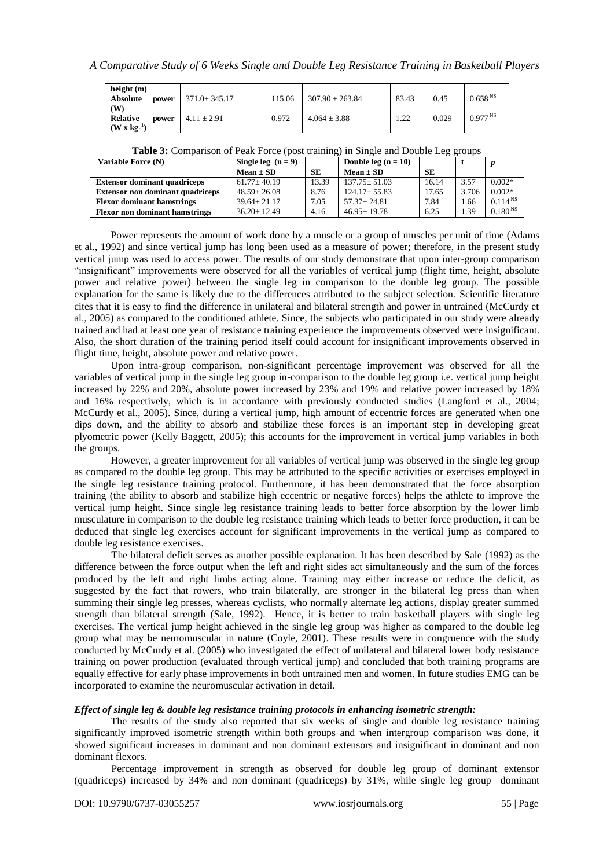| height $(m)$             |                    |        |                     |       |       |                     |
|--------------------------|--------------------|--------|---------------------|-------|-------|---------------------|
| <b>Absolute</b><br>power | $371.0 \pm 345.17$ | 115.06 | $307.90 \pm 263.84$ | 83.43 | 0.45  | 0.658 <sup>NS</sup> |
| (W                       |                    |        |                     |       |       |                     |
| Relative<br>power        | $4.11 \pm 2.91$    | 0.972  | $4.064 \pm 3.88$    | 1.22  | 0.029 | $0.977^{N.S}$       |
| $(W \times k2^{-1})$     |                    |        |                     |       |       |                     |

| <b>Table 5:</b> Comparison of Feak Force (post training) in Single and Double Leg groups |                      |           |                       |       |       |               |  |
|------------------------------------------------------------------------------------------|----------------------|-----------|-----------------------|-------|-------|---------------|--|
| Variable Force (N)                                                                       | Single leg $(n = 9)$ |           | Double leg $(n = 10)$ |       |       |               |  |
|                                                                                          | $Mean \pm SD$        | <b>SE</b> | $Mean \pm SD$         | SЕ    |       |               |  |
| <b>Extensor dominant quadriceps</b>                                                      | $61.77 \pm 40.19$    | 13.39     | $137.75 \pm 51.03$    | 16.14 | 3.57  | $0.002*$      |  |
| <b>Extensor non dominant quadriceps</b>                                                  | $48.59 + 26.08$      | 8.76      | $124.17 + 55.83$      | 17.65 | 3.706 | $0.002*$      |  |
| <b>Flexor dominant hamstrings</b>                                                        | $39.64 + 21.17$      | 7.05      | $57.37 + 24.81$       | 7.84  | 1.66  | $0.114^{N_S}$ |  |
| <b>Flexor non dominant hamstrings</b>                                                    | $36.20 + 12.49$      | 4.16      | $46.95 \pm 19.78$     | 6.25  | 1.39  | $0.180^{N_S}$ |  |

| <b>Table 3:</b> Comparison of Peak Force (post training) in Single and Double Leg groups |  |  |
|------------------------------------------------------------------------------------------|--|--|
|                                                                                          |  |  |

Power represents the amount of work done by a muscle or a group of muscles per unit of time (Adams et al., 1992) and since vertical jump has long been used as a measure of power; therefore, in the present study vertical jump was used to access power. The results of our study demonstrate that upon inter-group comparison "insignificant" improvements were observed for all the variables of vertical jump (flight time, height, absolute power and relative power) between the single leg in comparison to the double leg group. The possible explanation for the same is likely due to the differences attributed to the subject selection. Scientific literature cites that it is easy to find the difference in unilateral and bilateral strength and power in untrained (McCurdy et al., 2005) as compared to the conditioned athlete. Since, the subjects who participated in our study were already trained and had at least one year of resistance training experience the improvements observed were insignificant. Also, the short duration of the training period itself could account for insignificant improvements observed in flight time, height, absolute power and relative power.

Upon intra-group comparison, non-significant percentage improvement was observed for all the variables of vertical jump in the single leg group in-comparison to the double leg group i.e. vertical jump height increased by 22% and 20%, absolute power increased by 23% and 19% and relative power increased by 18% and 16% respectively, which is in accordance with previously conducted studies (Langford et al., 2004; McCurdy et al., 2005). Since, during a vertical jump, high amount of eccentric forces are generated when one dips down, and the ability to absorb and stabilize these forces is an important step in developing great plyometric power (Kelly Baggett, 2005); this accounts for the improvement in vertical jump variables in both the groups.

However, a greater improvement for all variables of vertical jump was observed in the single leg group as compared to the double leg group. This may be attributed to the specific activities or exercises employed in the single leg resistance training protocol. Furthermore, it has been demonstrated that the force absorption training (the ability to absorb and stabilize high eccentric or negative forces) helps the athlete to improve the vertical jump height. Since single leg resistance training leads to better force absorption by the lower limb musculature in comparison to the double leg resistance training which leads to better force production, it can be deduced that single leg exercises account for significant improvements in the vertical jump as compared to double leg resistance exercises.

The bilateral deficit serves as another possible explanation. It has been described by Sale (1992) as the difference between the force output when the left and right sides act simultaneously and the sum of the forces produced by the left and right limbs acting alone. Training may either increase or reduce the deficit, as suggested by the fact that rowers, who train bilaterally, are stronger in the bilateral leg press than when summing their single leg presses, whereas cyclists, who normally alternate leg actions, display greater summed strength than bilateral strength (Sale, 1992). Hence, it is better to train basketball players with single leg exercises. The vertical jump height achieved in the single leg group was higher as compared to the double leg group what may be neuromuscular in nature (Coyle, 2001). These results were in congruence with the study conducted by McCurdy et al. (2005) who investigated the effect of unilateral and bilateral lower body resistance training on power production (evaluated through vertical jump) and concluded that both training programs are equally effective for early phase improvements in both untrained men and women. In future studies EMG can be incorporated to examine the neuromuscular activation in detail.

## *Effect of single leg & double leg resistance training protocols in enhancing isometric strength:*

The results of the study also reported that six weeks of single and double leg resistance training significantly improved isometric strength within both groups and when intergroup comparison was done, it showed significant increases in dominant and non dominant extensors and insignificant in dominant and non dominant flexors.

Percentage improvement in strength as observed for double leg group of dominant extensor (quadriceps) increased by 34% and non dominant (quadriceps) by 31%, while single leg group dominant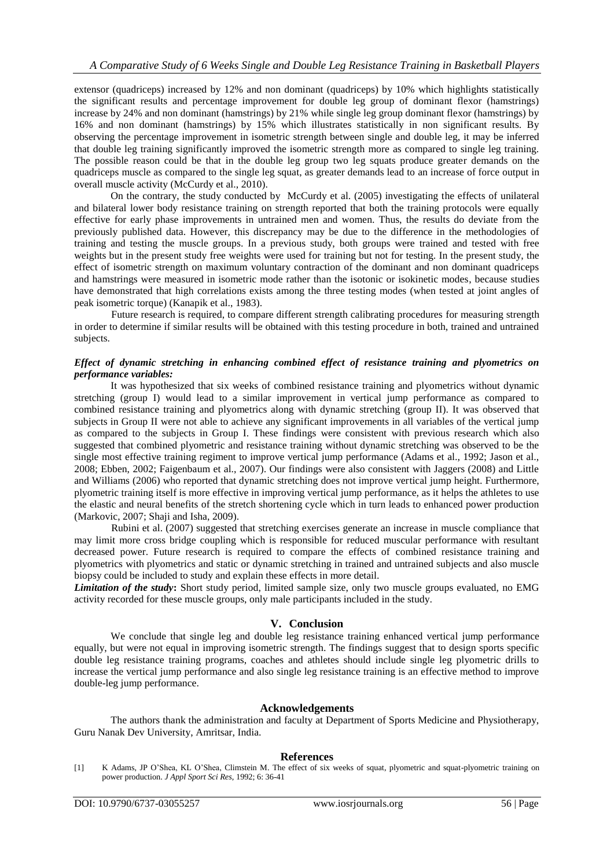extensor (quadriceps) increased by 12% and non dominant (quadriceps) by 10% which highlights statistically the significant results and percentage improvement for double leg group of dominant flexor (hamstrings) increase by 24% and non dominant (hamstrings) by 21% while single leg group dominant flexor (hamstrings) by 16% and non dominant (hamstrings) by 15% which illustrates statistically in non significant results. By observing the percentage improvement in isometric strength between single and double leg, it may be inferred that double leg training significantly improved the isometric strength more as compared to single leg training. The possible reason could be that in the double leg group two leg squats produce greater demands on the quadriceps muscle as compared to the single leg squat, as greater demands lead to an increase of force output in overall muscle activity (McCurdy et al., 2010).

On the contrary, the study conducted by McCurdy et al. (2005) investigating the effects of unilateral and bilateral lower body resistance training on strength reported that both the training protocols were equally effective for early phase improvements in untrained men and women. Thus, the results do deviate from the previously published data. However, this discrepancy may be due to the difference in the methodologies of training and testing the muscle groups. In a previous study, both groups were trained and tested with free weights but in the present study free weights were used for training but not for testing. In the present study, the effect of isometric strength on maximum voluntary contraction of the dominant and non dominant quadriceps and hamstrings were measured in isometric mode rather than the isotonic or isokinetic modes, because studies have demonstrated that high correlations exists among the three testing modes (when tested at joint angles of peak isometric torque) (Kanapik et al., 1983).

Future research is required, to compare different strength calibrating procedures for measuring strength in order to determine if similar results will be obtained with this testing procedure in both, trained and untrained subjects.

# *Effect of dynamic stretching in enhancing combined effect of resistance training and plyometrics on performance variables:*

It was hypothesized that six weeks of combined resistance training and plyometrics without dynamic stretching (group I) would lead to a similar improvement in vertical jump performance as compared to combined resistance training and plyometrics along with dynamic stretching (group II). It was observed that subjects in Group II were not able to achieve any significant improvements in all variables of the vertical jump as compared to the subjects in Group I. These findings were consistent with previous research which also suggested that combined plyometric and resistance training without dynamic stretching was observed to be the single most effective training regiment to improve vertical jump performance (Adams et al., 1992; Jason et al., 2008; Ebben, 2002; Faigenbaum et al., 2007). Our findings were also consistent with Jaggers (2008) and Little and Williams (2006) who reported that dynamic stretching does not improve vertical jump height. Furthermore, plyometric training itself is more effective in improving vertical jump performance, as it helps the athletes to use the elastic and neural benefits of the stretch shortening cycle which in turn leads to enhanced power production (Markovic, 2007; Shaji and Isha, 2009).

Rubini et al. (2007) suggested that stretching exercises generate an increase in muscle compliance that may limit more cross bridge coupling which is responsible for reduced muscular performance with resultant decreased power. Future research is required to compare the effects of combined resistance training and plyometrics with plyometrics and static or dynamic stretching in trained and untrained subjects and also muscle biopsy could be included to study and explain these effects in more detail.

*Limitation of the study***:** Short study period, limited sample size, only two muscle groups evaluated, no EMG activity recorded for these muscle groups, only male participants included in the study.

# **V. Conclusion**

We conclude that single leg and double leg resistance training enhanced vertical jump performance equally, but were not equal in improving isometric strength. The findings suggest that to design sports specific double leg resistance training programs, coaches and athletes should include single leg plyometric drills to increase the vertical jump performance and also single leg resistance training is an effective method to improve double-leg jump performance.

## **Acknowledgements**

The authors thank the administration and faculty at Department of Sports Medicine and Physiotherapy, Guru Nanak Dev University, Amritsar, India.

## **References**

<sup>[1]</sup> K Adams, JP O'Shea, KL O'Shea, Climstein M. The effect of six weeks of squat, plyometric and squat-plyometric training on power production. *J Appl Sport Sci Res*, 1992; 6: 36-41